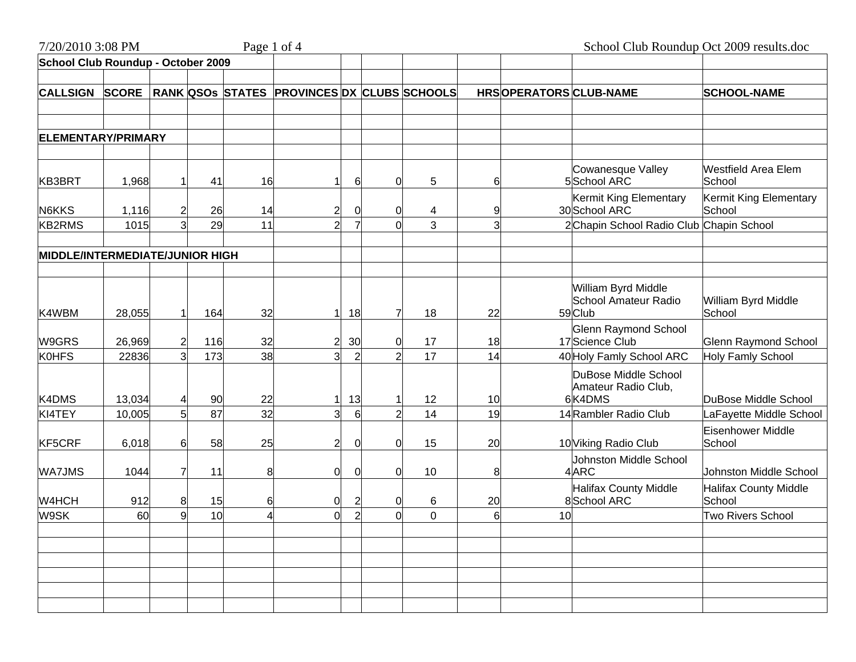| 7/20/2010 3:08 PM                      |                  |    |          | Page 1 of 4 |                                             |                |    |                  |          |                       | School Club Roundup Oct 2009 results.doc                                       |                                                 |
|----------------------------------------|------------------|----|----------|-------------|---------------------------------------------|----------------|----|------------------|----------|-----------------------|--------------------------------------------------------------------------------|-------------------------------------------------|
| School Club Roundup - October 2009     |                  |    |          |             |                                             |                |    |                  |          |                       |                                                                                |                                                 |
| <b>CALLSIGN</b>                        | <b>SCORE</b>     |    |          |             | RANK QSOS STATES PROVINCES DX CLUBS SCHOOLS |                |    |                  |          | HRSOPERATORSCLUB-NAME |                                                                                | <b>SCHOOL-NAME</b>                              |
| <b>ELEMENTARY/PRIMARY</b>              |                  |    |          |             |                                             |                |    |                  |          |                       |                                                                                |                                                 |
|                                        |                  |    |          |             |                                             |                |    |                  |          |                       |                                                                                |                                                 |
| KB3BRT                                 | 1,968            |    | 41       | 16          | 1                                           | 6              | 0  | 5                | 6        |                       | Cowanesque Valley<br>5School ARC                                               | <b>Westfield Area Elem</b><br>School            |
| N6KKS                                  | 1,116            |    | 26       | 14          | $\overline{2}$                              | $\mathbf 0$    | 0  | 4                |          |                       | Kermit King Elementary<br>30 School ARC                                        | Kermit King Elementary<br>School                |
| <b>KB2RMS</b>                          | 1015             |    | 29       | 11          | $\overline{2}$                              |                | ი  | 3                |          |                       | 2Chapin School Radio Club                                                      | Chapin School                                   |
| <b>MIDDLE/INTERMEDIATE/JUNIOR HIGH</b> |                  |    |          |             |                                             |                |    |                  |          |                       |                                                                                |                                                 |
| K4WBM                                  | 28,055           |    | 164      | 32          | 1                                           | 18             | 7  | 18               | 22       |                       | William Byrd Middle<br>School Amateur Radio<br>59Club                          | William Byrd Middle<br>School                   |
| W9GRS                                  | 26,969           |    | 116      | 32          | $\overline{2}$                              | 30             | 0  | 17               | 18       |                       | <b>Glenn Raymond School</b><br>17 Science Club                                 | <b>Glenn Raymond School</b>                     |
| <b>KOHFS</b>                           | 22836            |    | 173      | 38          | $\overline{3}$                              | $\overline{2}$ | 2  | 17               | 14       |                       | 40 Holy Famly School ARC                                                       | Holy Famly School                               |
| K4DMS<br>KI4TEY                        | 13,034<br>10,005 |    | 90<br>87 | 22<br>32    | 1<br>3                                      | 13<br>6        | 2  | 12<br>14         | 10<br>19 |                       | DuBose Middle School<br>Amateur Radio Club,<br>6K4DMS<br>14 Rambler Radio Club | DuBose Middle School<br>LaFayette Middle School |
|                                        |                  |    |          |             |                                             |                |    |                  |          |                       |                                                                                | <b>Eisenhower Middle</b>                        |
| KF5CRF                                 | 6,018            | 6. | 58       | 25          | $\overline{2}$                              | $\mathbf 0$    | 0  | 15               | 20       |                       | 10 Viking Radio Club                                                           | School                                          |
| <b>WA7JMS</b>                          | 1044             |    | 11       | 8           | $\overline{0}$                              | 0              | 0  | 10               | 8        |                       | Johnston Middle School<br>4ARC                                                 | Johnston Middle School                          |
| W4HCH                                  | 912              | 8  | 15       | 6           | 0                                           | $\overline{2}$ | 0  | 6                | 20       |                       | <b>Halifax County Middle</b><br>8 School ARC                                   | <b>Halifax County Middle</b><br>School          |
| W9SK                                   | 60               | q  | 10       |             | $\overline{0}$                              | $\overline{2}$ | 0l | $\boldsymbol{0}$ | 6        | 10                    |                                                                                | <b>Two Rivers School</b>                        |
|                                        |                  |    |          |             |                                             |                |    |                  |          |                       |                                                                                |                                                 |
|                                        |                  |    |          |             |                                             |                |    |                  |          |                       |                                                                                |                                                 |
|                                        |                  |    |          |             |                                             |                |    |                  |          |                       |                                                                                |                                                 |
|                                        |                  |    |          |             |                                             |                |    |                  |          |                       |                                                                                |                                                 |
|                                        |                  |    |          |             |                                             |                |    |                  |          |                       |                                                                                |                                                 |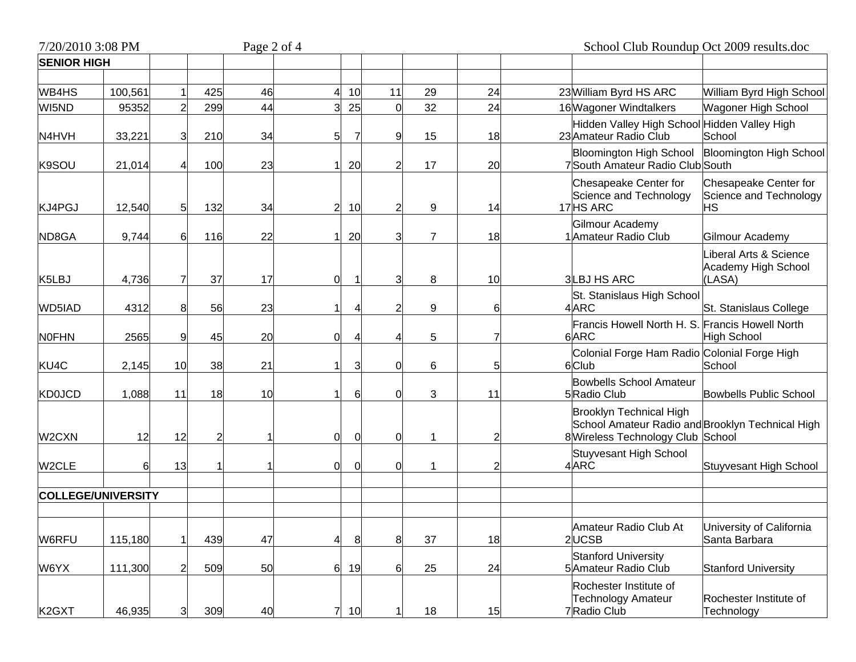| 7/20/2010 3:08 PM  |                           |                |            | Page 2 of 4 |                |                |                     |                | School Club Roundup Oct 2009 results.doc |                                                                                                                                 |  |  |  |
|--------------------|---------------------------|----------------|------------|-------------|----------------|----------------|---------------------|----------------|------------------------------------------|---------------------------------------------------------------------------------------------------------------------------------|--|--|--|
| <b>SENIOR HIGH</b> |                           |                |            |             |                |                |                     |                |                                          |                                                                                                                                 |  |  |  |
| WB4HS              | 100,561                   |                | 425        | 46          |                | 10             | 11                  | 29             | 24                                       | 23 William Byrd HS ARC<br>William Byrd High School                                                                              |  |  |  |
| WI5ND              | 95352                     |                | 299        | 44          |                | 25             | $\overline{0}$      | 32             | 24                                       | 16 Wagoner Windtalkers<br>Wagoner High School<br><b>Hidden Valley High School</b><br>Hidden Valley High                         |  |  |  |
| N4HVH<br>K9SOU     | 33,221<br>21,014          | 31             | 210<br>100 | 34<br>23    | 5              | 7<br>20        | 9<br>$\overline{2}$ | 15<br>17       | 18<br>20                                 | 23 Amateur Radio Club<br>School<br>Bloomington High School<br><b>Bloomington High School</b><br>7South Amateur Radio Club South |  |  |  |
| KJ4PGJ             | 12,540                    | 5              | 132        | 34          | $\overline{2}$ | 10             | $\overline{2}$      | 9              | 14                                       | Chesapeake Center for<br>Chesapeake Center for<br>Science and Technology<br>Science and Technology<br>17 HS ARC<br>НS           |  |  |  |
| ND8GA              | 9,744                     | 6              | 116        | 22          |                | 20             | $\overline{3}$      | $\overline{7}$ | 18                                       | Gilmour Academy<br>1 Amateur Radio Club<br>Gilmour Academy                                                                      |  |  |  |
| K5LBJ              | 4,736                     |                | 37         | 17          | 0              | r,             | 3                   | 8              | 10                                       | Liberal Arts & Science<br>Academy High School<br><b>3LBJ HS ARC</b><br>(LASA)                                                   |  |  |  |
| WD5IAD             | 4312                      | 8              | 56         | 23          |                | Δ              | $\overline{2}$      | 9              | 6                                        | St. Stanislaus High School<br>4ARC<br>St. Stanislaus College                                                                    |  |  |  |
| <b>NOFHN</b>       | 2565                      | 9              | 45         | 20          | $\Omega$       | 4              | Δ                   | 5              |                                          | Francis Howell North H. S<br><b>Francis Howell North</b><br>6ARC<br><b>High School</b>                                          |  |  |  |
| KU4C               | 2,145                     | 10             | 38         | 21          |                | 3              | $\overline{0}$      | 6              | 5                                        | Colonial Forge Ham Radio Colonial Forge High<br>6Club<br>School                                                                 |  |  |  |
| <b>KD0JCD</b>      | 1,088                     | 11             | 18         | 10          |                | 6              | $\overline{0}$      | 3              | 11                                       | <b>Bowbells School Amateur</b><br>5 Radio Club<br>Bowbells Public School                                                        |  |  |  |
| W2CXN              | 12                        | 12             |            |             | $\Omega$       | $\overline{0}$ | $\overline{0}$      | 1              |                                          | Brooklyn Technical High<br>School Amateur Radio and Brooklyn Technical High<br>8 Wireless Technology Club School                |  |  |  |
| W2CLE              | 6                         | 13             |            |             | $\Omega$       | $\Omega$       | $\mathbf 0$         |                |                                          | <b>Stuyvesant High School</b><br>4ARC<br>Stuyvesant High School                                                                 |  |  |  |
|                    | <b>COLLEGE/UNIVERSITY</b> |                |            |             |                |                |                     |                |                                          |                                                                                                                                 |  |  |  |
| W6RFU              | 115,180                   |                | 439        | 47          |                | 8              | $\bf{8}$            | 37             | 18                                       | Amateur Radio Club At<br>University of California<br>2UCSB<br>Santa Barbara                                                     |  |  |  |
| W6YX               | 111,300                   | $\overline{2}$ | 509        | 50          | $6 \mid$       | 19             | $6 \,$              | 25             | 24                                       | <b>Stanford University</b><br>5 Amateur Radio Club<br><b>Stanford University</b>                                                |  |  |  |
| K <sub>2</sub> GXT | 46,935                    | 3              | 309        | 40          | 71             | 10             |                     | 18             | 15                                       | Rochester Institute of<br>Rochester Institute of<br><b>Technology Amateur</b><br>7Radio Club<br>Technology                      |  |  |  |